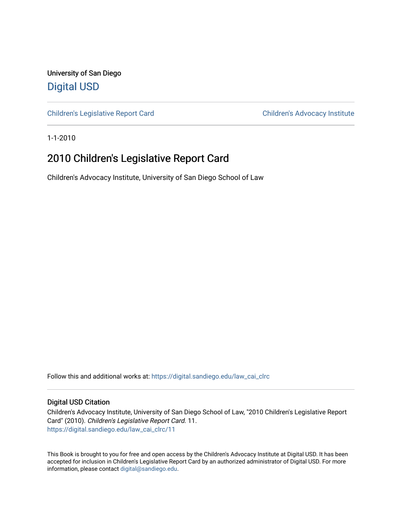University of San Diego [Digital USD](https://digital.sandiego.edu/)

[Children's Legislative Report Card](https://digital.sandiego.edu/law_cai_clrc) Children's Advocacy Institute

1-1-2010

### 2010 Children's Legislative Report Card

Children's Advocacy Institute, University of San Diego School of Law

Follow this and additional works at: [https://digital.sandiego.edu/law\\_cai\\_clrc](https://digital.sandiego.edu/law_cai_clrc?utm_source=digital.sandiego.edu%2Flaw_cai_clrc%2F11&utm_medium=PDF&utm_campaign=PDFCoverPages) 

### Digital USD Citation

Children's Advocacy Institute, University of San Diego School of Law, "2010 Children's Legislative Report Card" (2010). Children's Legislative Report Card. 11. [https://digital.sandiego.edu/law\\_cai\\_clrc/11](https://digital.sandiego.edu/law_cai_clrc/11?utm_source=digital.sandiego.edu%2Flaw_cai_clrc%2F11&utm_medium=PDF&utm_campaign=PDFCoverPages)

This Book is brought to you for free and open access by the Children's Advocacy Institute at Digital USD. It has been accepted for inclusion in Children's Legislative Report Card by an authorized administrator of Digital USD. For more information, please contact [digital@sandiego.edu.](mailto:digital@sandiego.edu)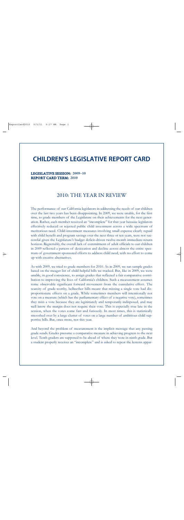## **CHILDREN'S LEGISLATIVE REPORT CARD**

### LEGISLATIVE SESSION: 2009–10 REPORT CARD TERM: 2010

### 2010: THE YEAR IN REVIEW

The performance of our California legislators in addressing the needs of our children over the last two years has been disappointing. In 2009, we were unable, for the first time, to grade members of the Legislature on their achievements for the next generation. Rather, each member received an "incomplete" for that year because legislators effectively reduced or rejected public child investment across a wide spectrum of meritorious need. Child-investment measures involving small expense clearly repaid with child benefit and program savings over the next three or ten years, were not successful given the Legislature's budget deficit-driven twelve-month immediate-return horizon. Regrettably, the overall lack of commitment of adult officials to our children in 2009 reflected a pattern of desiccation and decline across almost the entire spectrum of government-sponsored efforts to address child need, with no effort to come up with creative alternatives.

As with 2009, we tried to grade members for 2010. As in 2009, we ran sample grades based on the meager list of child-helpful bills we tracked. But, like in 2009, we were unable, in good conscience, to assign grades that reflected a fair comparative contribution to improving the lives of California's children. Such a measurement assumes some observable significant forward movement from the cumulative effort. The scarcity of grade-worthy, bellwether bills meant that missing a single vote had disproportionate effects on a grade. While sometimes members will intentionally not vote on a measure (which has the parliamentary effect of a negative vote), sometimes they miss a vote because they are legitimately and temporarily indisposed, and may well know the margin does not require their vote. This is especially true late in the session, when the votes come fast and furiously. In most times, this is statistically smoothed over by a large cluster of votes on a large number of ambitious child supportive bills. But, once more, not this year.

And beyond the problem of measurement is the implicit message that any passing grade sends. Grades presume a comparative measure in achieving progress to the next level. Tenth graders are supposed to be ahead of where they were in ninth grade. But a student properly receives an "incomplete" and is asked to repeat the lessons appar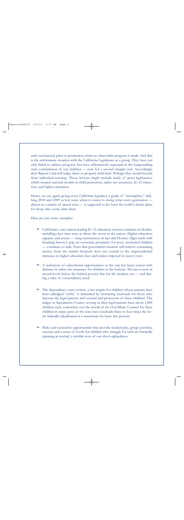ently not learned, prior to promotion, when no observable progress is made. And that is the unfortunate situation with the California Legislature as a group. They have not only failed to achieve progress, but have affirmatively regressed in the longstanding state commitment of our children — now for a second straight year. Accordingly, their Report Card will judge them as properly held back. Perhaps they would benefit from individual tutoring. Those lessons might include study of prior legislatures, which created national models in child protection, safety net assurance, K–12 education, and higher education.

Hence, we are again giving every California legislator a grade of "incomplete," dubbing 2010 and 2009 as lost years when it comes to doing what every generation almost as a matter of sacred trust — is supposed to do: leave the world a better place for those who come after them.

Here are just some examples:

- $\geq$  California's once nation leading K–12 education system continues its decline, including class sizes now at about the worst in the nation. Higher education capacity and access — long synonymous in fact and Horatio Alger myth with breaking history's grip on economic prosperity for poor, motivated children — continues to fade. Fears that government taxation will remove consuming money from the market bizarrely does not extend to the unprecedented increases in higher education fees and tuition imposed in recent years.
- $\geq$  A reduction of educational opportunities at the top has been joined with declines in safety net assurance for children at the bottom. The last is now at record levels below the federal poverty line for the modern era — and during a time of extraordinary need.
- $\geq$  The dependency court system, a last respite for children whose parents have been adjudged "unfit," is demarked by increasing caseloads for those who become the legal parents and counsel and protectors of these children. The judges in Sacramento County serving as their legal parents have about 1,000 children each, somewhat over the travail of the OctoMom. Counsel for these children in many parts of the state have caseloads three to four times the levels federally adjudicated as a maximum for basic due process.
- $\geq$  Parks and recreation opportunities that provide needed play, group activities, exercise and a sense of worth for children who struggle for each are hurriedly spinning in rewind, a terrible icon of our short-sightedness.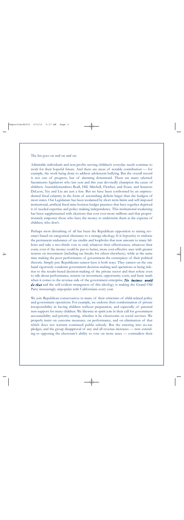The list goes on and on and on.

Admirable individuals and non-profits serving children's everyday needs continue to work for their hopeful future. And there are areas of notable contribution — for example, the work being done to address adolescent bullying. But the overall record is not one of progress, but of alarming downtrend. There are many talented Sacramento legislators who last year and this year devotedly champion the cause of children: Assemblymembers Beall, Hill, Mitchell, Fletcher, and Feuer, and Senators DeLeon, Yee and Liu are just a few. But we have been confronted by an unprecedented fiscal calamity in the form of astonishing deficits larger than the budgets of most states. Our Legislature has been weakened by short term limits and self-imposed institutional, artificial fiscal time-horizon budget practices that have together deprived it of needed expertise and policy-making independence. This institutional weakening has been supplemented with elections that cost ever-more millions and that proportionately empower those who have the money to underwrite them at the expense of children, who don't.

Perhaps most disturbing of all has been the Republican opposition to raising revenues based on categorical obeisance to a strange ideology. It is hypocrisy to endorse the permanent endurance of tax credits and loopholes that now amount to many billions and take a two-thirds vote to end, whatever their effectiveness, whatever their costs, even if the money could be put to better, more cost-effective uses with greater returns on investment (including tax breaks for others elsewhere), while at the same time making the poor performance of government the centerpiece of their political rhetoric. Simply put: Republicans cannot have it both ways. They cannot on the one hand vigorously condemn government decision-making and operations as being inferior to the results-based decision-making of the private sector and then refuse even to talk about performance, returns on investment, opportunity costs, and basic math when it comes to the revenue-side of the government enterprise. *No business would d o that* and the self-evident strangeness of this ideology is making the Grand Old Party increasingly unpopular with Californians every year.

We join Republican conservatives in many of their criticisms of child-related policy and government operations. For example, we endorse their condemnation of private irresponsibility in having children without preparation, and especially of paternal non-support for many children. We likewise in spirit join in their call for government accountability and priority-setting, whether it be classrooms or social services. We properly insist on outcome measures, on performance, and on elimination of that which does not warrant continued public subsidy. But the entering into no-tax pledges, and the group disapproval of any and all revenue increases — now extending to opposing the electorate's ability to vote on more taxes — contradicts their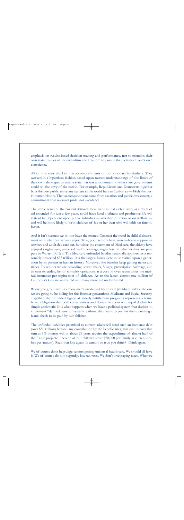emphasis on results-based decision-making and performance, not to mention their own stated values of individualism and freedom to pursue the dictates of one's own conscience.

All of this runs afoul of the accomplishments of our visionary forefathers. They worked in a bipartisan fashion based upon mature understandings of the limits of their own ideologies to erect a state that was a monument to what state governments could do; the envy of the nation. For example, Republicans and Democrats together built the best public university system in the world here in California — likely the best in human history. That accomplishment came from taxation and public investment, a commitment that warrants pride, not avoidance.

The ironic result of the current disinvestment trend is that a child who, as a result of aid extended for just a few years, could have lived a vibrant and productive life will instead be dependent upon public subsidies — whether in prison or on welfare and will be more likely to birth children of his or her own who will odds on fare no better.

And it isn't because we do not have the money. Contrast the trend in child-disinvestment with what our seniors enjoy. True, poor seniors have seen in-home supportive services and adult day care cut, but since the enactment of Medicare, the elderly have enjoyed single-payer, universal health coverage, regardless of whether they are paupers or Warren Buffett. The Medicare unfunded liability nationally approaches a reasonably projected \$35 trillion. It is the largest future debt to be visited upon a generation by its parents in human history. Moreover, the benefits keep getting richer and richer. To seniors we are providing power chairs, Viagra, prescription coverage, and an ever extending list of complex operations at a cost of over seven times the medical insurance per capita cost of children. As to the latter, almost one million of California's kids are uninsured and many more are underinsured.

Worse, the group with so many members denied health care (children) will be the one we are going to be billing for the Boomer generation's Medicare and Social Security. Together, the unfunded legacy of elderly entitlement programs represents a transferred obligation that both conservatives and liberals lie about with equal disdain for simple arithmetic. It is what happens when we have a political system that decides to implement "defined benefit" systems without the means to pay for them, creating a blank check to be paid by our children.

The unfunded liabilities promised to current adults will total such an immense debt (over \$50 trillion) beyond any contribution by the beneficiaries, that just to *carry* that sum at 5% interest will in about 25 years require the expenditure of almost half of the future projected income of our children (over \$20,000 per family in current dollars per annum). Read that line again. It cannot be true you think? Think again.

We of course don't begrudge seniors getting universal health care. We should all have it. We of course do not begrudge low tax rates. We don't love paying taxes. What we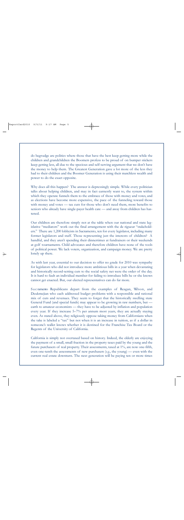do begrudge are politics where those that have the best keep getting more while the children and grandchildren the Boomers profess to be proud of on bumper stickers keep getting less, all due to the specious and self-serving argument that we don't have the money to help them. The Greatest Generation gave a lot more of the less they had to their children and the Boomer Generation is using their matchless wealth and power to do the exact opposite.

Why does all this happen? The answer is depressingly simple. While every politician talks about helping children, and may in fact earnestly want to, the system within which they operate funnels them to the embrace of those with money and votes, and as elections have become more expensive, the pace of the funneling toward those with money and votes — tax cuts for those who don't need them, more benefits to seniors who already have single-payer health care — and away from children has hastened.

Our children are therefore simply not at the table when our national and state legislative "mediators" work out the final arrangement with the de rigueur "stakeholders." There are 1,200 lobbyists in Sacramento, ten for every legislator, including many former legislators and staff. Those representing just the interests of children? A handful, and they aren't spending their dinnertimes at fundraisers or their weekends at golf tournaments. Child advocates and therefore children have none of the tools of political power. We lack voters, organization, and campaign money. We are pretty lonely up there.

As with last year, essential to our decision to offer no grade for 2010 was sympathy for legislators who did not introduce more ambitious bills in a year when devastating and historically record-setting cuts to the social safety net were the order of the day. It is hard to fault an individual member for failing to introduce bills he or she knows cannot get enacted. But, our elected representatives can do far more.

S a c ramento Republicans depart from the examples of Reagan, Wilson, and Deukmejian who each addressed budget problems with a responsible and rational mix of cuts and revenues. They seem to forget that the historically swelling state General Fund (and special funds) may appear to be growing in raw numbers, but earth to amateur economists — they have to be adjusted by inflation and population every year. If they increase 5–7% per annum most years, they are actually staying even. As stated above, they religiously oppose taking money from Californians when the take is labeled a "tax" but not when it is an increase in tuition, as if a dollar in someone's wallet knows whether it is destined for the Franchise Tax Board or the Regents of the University of California.

California is simply not overtaxed based on history. Indeed, the elderly are enjoying the payment of a small, small fraction in the property taxes paid by the young and the future purchasers of real property. Their assessments, taxed at 1%, are now one-fifth, even one-tenth the assessments of new purchasers (*e.g*., the young) — even with the current real estate downturn. The next generation will be paying ten or more times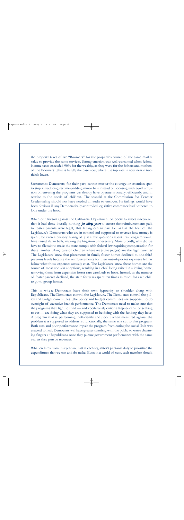the property taxes of we "Boomers" for the properties owned of the same market value to provide the same services. Strong emotion was well warranted when federal income taxes exceeded 90% for the wealthy, as they were for the fathers and mothers of the Boomers. That is hardly the case now, where the top rate is now nearly twothirds lower.

Sacramento Democrats, for their part, cannot muster the courage or attention span to stop introducing resume-padding minor bills instead of focusing with equal ambition on ensuring the programs we already have operate rationally, efficiently, and in service to the needs of children. The scandal at the Commission for Teacher Credentialing should not have needed an audit to uncover. Its failings would have been obvious if any Democratically-controlled legislative committee had bothered to look under the hood.

When our lawsuit against the California Department of Social Services uncovered that it had done literally nothing *for thirty years* to ensure that reimbursements paid to foster parents were legal, this failing can in part be laid at the feet of the Legislature's Democrats who are in control and supposed to oversee how money is spent, for even a cursory asking of just a few questions about this program would have raised alarm bells, making the litigation unnecessary. More broadly, why did we have to file suit to make the state comply with federal law requiring compensation for these families taking care of children where we (state judges) are the legal parents? The Legislature knew that placements in family foster homes declined to one-third previous levels because the reimbursements for their out-of-pocket expenses fell far below what those expenses actually cost. The Legislature knew these homes are the source of most non-kin adoptions, resulting in a child being raised in a loving home, removing them from expensive foster care caseloads to boot. Instead, as the number of foster parents declined, the state for years spent ten times as much for each child to go to group homes.

This is where Democrats have their own hypocrisy to shoulder along with Republicans. The Democrats control the Legislature. The Democrats control the policy and budget committees. The policy and budget committees are supposed to do oversight of executive branch performance. The Democrats need to make sure that the programs they fight to fund — and vociferously criticize Republicans for seeking to cut — are doing what they are supposed to be doing with the funding they have. A program that is performing inefficiently and poorly when measured against the problem it is supposed to address is, functionally, the same as a cut to that program. Both cuts and poor performance impair the program from curing the social ills it was enacted to heal. Democrats will have greater standing with the public to waive chastising fingers at Republicans once they pursue government performance with the same zeal as they pursue revenues.

What endures from this year and last is each legislator's personal duty to prioritize the expenditures that we can and do make. Even in a world of cuts, each member should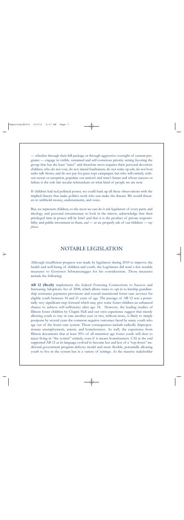— whether through their bill package or through aggressive oversight of current programs — engage in visible, sustained and self-conscious priority setting favoring the group that has the least "juice" and therefore most requires their personal devotion: children, who do not vote, do not attend fundraisers, do not write op-eds, do not host radio talk shows, and do not pay for grass tops campaigns, but who will entirely, without caveat or exception, populate our nation's and state's future and whose success or failure is the sole fair secular referendum on what kind of people we are now.

If children had real political power, we could back up all these observations with the implied threats that make politics work who can make the threats. We would threaten to withhold money, endorsements, and votes.

But, we represent children, so the most we can do is ask legislators of every party and ideology and personal circumstance to look in the mirror, acknowledge that their privileged time in power will be brief and that it is the product of private responsibility and public investment in them, *and* — as we properly ask of our children — say *please*.

### NOTABLE LEGISLATION

Although insufficient progress was made by legislators during 2010 to improve the health and well-being of children and youth, the Legislature did send a few notable measures to Governor Schwarzenegger for his consideration. Those measures include the following:

**AB 12 (Beall)** implements the federal Fostering Connections to Success and Increasing Adoptions Act of 2008, which allows states to opt in to kinship guardianship assistance payments provisions and extend transitional foster care services for eligible youth between 18 and 21 years of age. The passage of AB 12 was a potentially very significant step forward which may give some foster children an enhanced chance to achieve self-sufficiency after age 18. However, the leading studies of Illinois foster children by Chapin Hall and our own experience suggest that merely allowing youth to stay in care another year or two, without more, is likely to simply postpone by several years the common negative outcomes faced by many youth who age out of the foster care system. Those consequences include radically disproportionate unemployment, arrests, and homelessness. As well, the experience from Illinois documents that at least 30% of all transition age foster youth will elect to reject living in "the system" entirely, even if it means homelessness. CAI at the end supported AB 12 as its language evolved to become less and less of a "top down" traditional government program delivery model and more flexible, potentially allowing youth to live in the system but in a variety of settings. As the massive stakeholder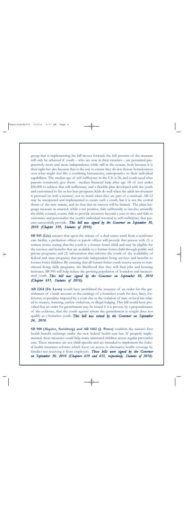group that is implementing the bill moves forward, the full promise of the measure will only be achieved if youth – who are now in their twenties – are permitted progressively more and more independence while still in the system, both because it is their right but also because that is the way to ensure they do not choose homelessness over what might feel like a confining bureaucracy, unresponsive to their individual capabilities. The median age of self-sufficiency in the U.S. is 26, and youth need what parents commonly give them: median financial help after age 18 of just under \$50,000 to achieve that self-sufficiency, and a flexible plan developed with the youth and customized to his or her best prospects. Kids do well when the adult involvement is personal (as with a mentor), not so much when they are part of a caseload. AB 12 may be interpreted and implemented to create such a result, but it is not the central thrust of the new statute, and we fear that its success will be limited. The plain language measure as enacted, while a net positive, fails sufficiently to involve assuredly the child, counsel, courts; fails to provide resources beyond a year or two; and fails to customize and personalize the youth's individual traversal to self-sufficiency that parents successfully provide. *This bill was signed by the Governor on September 30, 2010 (Chapter 559, Statutes of 2010).*

**SB 945 (Liu)** ensures that upon the release of a dual status ward from a nonfoster care facility, a probation officer or parole officer will provide that person with (1) a written notice stating that the youth is a former foster child and may be eligible for the services and benefits that are available to a former foster child through public and private programs; and (2) information that informs the youth of the availability of federal and state programs that provide independent living services and benefits to former foster children. By ensuring that all former foster youth receive access to transitional living skills programs, the likelihood that they will find jobs and housing increases, SB 945 will help reduce the growing population of homeless and incarcerated youth. *This bill was signed by the Governor on September 30, 2010 (Chapter 631, Statutes of 2010).*

**AB 2264 (De Leon)** would have prohibited the issuance of an order for the garnishment of a bank account or the earnings of a homeless youth for fees, fines, forfeitures, or penalties imposed by a court due to the violation of state or local law related to truancy, loitering, curfew violations, or illegal lodging. This bill would have provided that an order for garnishment may be issued if it is proven, by a preponderance of the evidence, that the youth against whom the garnishment is sought does not qualify as a homeless youth. *This bill was vetoed by the Governor on September 24, 2010.*

**SB 900 (Alquist, Steinberg) and AB 1602 (J. Perez)** establish the nation's first health benefit exchange under the new federal health care law. If properly implemented, these measures could help many uninsured children access regular preventive care. These measures are not child-specific and are intended to implement the federal health insurance reforms which focus on access to alternative health coverage by families not receiving it from employers. *These bills were signed by the Governor on September 30, 2010 (Chapters 659 and 655, respectively, Statutes of 2010).*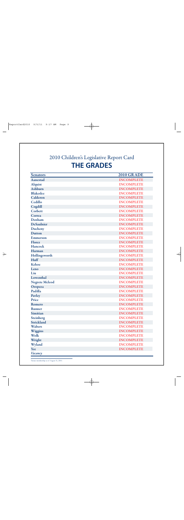# 2010 Children's Legislative Report Card **THE GRADES**

| <b>Senators</b>       | <b>2010 GRADE</b> |
|-----------------------|-------------------|
| Aanestad              | <b>INCOMPLETE</b> |
| <b>Alquist</b>        | <b>INCOMPLETE</b> |
| Ashburn               | <b>INCOMPLETE</b> |
| <b>Blakeslee</b>      | <b>INCOMPLETE</b> |
| Calderon              | <b>INCOMPLETE</b> |
| Cedillo               | <b>INCOMPLETE</b> |
| Cogdill               | <b>INCOMPLETE</b> |
| Corbett               | <b>INCOMPLETE</b> |
| Correa                | <b>INCOMPLETE</b> |
| Denham                | <b>INCOMPLETE</b> |
| <b>DeSaulnier</b>     | <b>INCOMPLETE</b> |
| Ducheny               | <b>INCOMPLETE</b> |
| <b>Dutton</b>         | <b>INCOMPLETE</b> |
| <b>Emmerson</b>       | <b>INCOMPLETE</b> |
| Florez                | <b>INCOMPLETE</b> |
| Hancock               | <b>INCOMPLETE</b> |
| Harman                | <b>INCOMPLETE</b> |
| Hollingsworth         | <b>INCOMPLETE</b> |
| Huff                  | <b>INCOMPLETE</b> |
| Kehoe                 | <b>INCOMPLETE</b> |
| Leno                  | <b>INCOMPLETE</b> |
| Liu                   | <b>INCOMPLETE</b> |
| Lowenthal             | <b>INCOMPLETE</b> |
| <b>Negrete Mcleod</b> | <b>INCOMPLETE</b> |
| Oropeza               | <b>INCOMPLETE</b> |
| Padilla               | <b>INCOMPLETE</b> |
| Pavley                | <b>INCOMPLETE</b> |
| Price                 | <b>INCOMPLETE</b> |
| Romero                | <b>INCOMPLETE</b> |
| <b>Runner</b>         | <b>INCOMPLETE</b> |
| Simitian              | <b>INCOMPLETE</b> |
| <b>Steinberg</b>      | <b>INCOMPLETE</b> |
| Strickland            | <b>INCOMPLETE</b> |
| Walters               | <b>INCOMPLETE</b> |
| Wiggins               | <b>INCOMPLETE</b> |
| Wolk                  | <b>INCOMPLETE</b> |
| Wright                | <b>INCOMPLETE</b> |
| Wyland                | <b>INCOMPLETE</b> |
| Yee                   | <b>INCOMPLETE</b> |
| Vacancy               |                   |

'Senate membership as of August 31, 2010.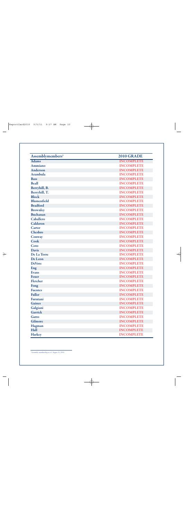| Assemblymembers <sup>2</sup> | <b>2010 GRADE</b> |
|------------------------------|-------------------|
| <b>Adams</b>                 | <b>INCOMPLETE</b> |
| <b>Ammiano</b>               | <b>INCOMPLETE</b> |
| <b>Anderson</b>              | <b>INCOMPLETE</b> |
| <b>Arambula</b>              | <b>INCOMPLETE</b> |
| <b>Bass</b>                  | <b>INCOMPLETE</b> |
| <b>Beall</b>                 | <b>INCOMPLETE</b> |
| Berryhill, B.                | <b>INCOMPLETE</b> |
| Berryhill, T.                | <b>INCOMPLETE</b> |
| <b>Block</b>                 | <b>INCOMPLETE</b> |
| <b>Blumenfield</b>           | <b>INCOMPLETE</b> |
| <b>Bradford</b>              | <b>INCOMPLETE</b> |
| <b>Brownley</b>              | <b>INCOMPLETE</b> |
| <b>Buchanan</b>              | <b>INCOMPLETE</b> |
| Caballero                    | <b>INCOMPLETE</b> |
| Calderon                     | <b>INCOMPLETE</b> |
| Carter                       | <b>INCOMPLETE</b> |
| Chesbro                      | <b>INCOMPLETE</b> |
| Conway                       | <b>INCOMPLETE</b> |
| Cook                         | <b>INCOMPLETE</b> |
| Coto                         | <b>INCOMPLETE</b> |
| <b>Davis</b>                 | <b>INCOMPLETE</b> |
| De La Torre                  | <b>INCOMPLETE</b> |
| De Leon                      | <b>INCOMPLETE</b> |
| <b>DeVore</b>                | <b>INCOMPLETE</b> |
| Eng                          | <b>INCOMPLETE</b> |
| <b>Evans</b>                 | <b>INCOMPLETE</b> |
| <b>Feuer</b>                 | <b>INCOMPLETE</b> |
| Fletcher                     | <b>INCOMPLETE</b> |
| Fong                         | <b>INCOMPLETE</b> |
| <b>Fuentes</b>               | <b>INCOMPLETE</b> |
| <b>Fuller</b>                | <b>INCOMPLETE</b> |
| Furutani                     | <b>INCOMPLETE</b> |
| <b>Gaines</b>                | <b>INCOMPLETE</b> |
| Galgiani                     | <b>INCOMPLETE</b> |
| Garrick                      | <b>INCOMPLETE</b> |
| Gatto                        | <b>INCOMPLETE</b> |
| Gilmore                      | <b>INCOMPLETE</b> |
| Hagman                       | <b>INCOMPLETE</b> |
| Hall                         | <b>INCOMPLETE</b> |
| Harkey                       | <b>INCOMPLETE</b> |

<sup>2</sup>Assembly membership as of August 31, 2010.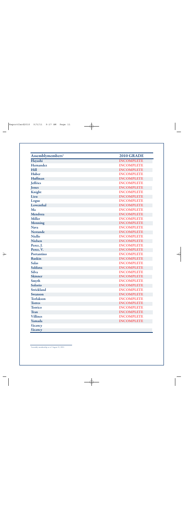| Assemblymembers <sup>3</sup> | <b>2010 GRADE</b> |
|------------------------------|-------------------|
| Hayashi                      | <b>INCOMPLETE</b> |
| Hernandez                    | <b>INCOMPLETE</b> |
| Hill                         | <b>INCOMPLETE</b> |
| Huber                        | <b>INCOMPLETE</b> |
| Huffman                      | <b>INCOMPLETE</b> |
| <b>Jeffries</b>              | <b>INCOMPLETE</b> |
| Jones                        | <b>INCOMPLETE</b> |
| Knight                       | <b>INCOMPLETE</b> |
| Lieu                         | <b>INCOMPLETE</b> |
| Logue                        | <b>INCOMPLETE</b> |
| Lowenthal                    | <b>INCOMPLETE</b> |
| Ma                           | <b>INCOMPLETE</b> |
| Mendoza                      | <b>INCOMPLETE</b> |
| <b>Miller</b>                | <b>INCOMPLETE</b> |
| <b>Monning</b>               | <b>INCOMPLETE</b> |
| <b>Nava</b>                  | <b>INCOMPLETE</b> |
| <b>Nestande</b>              | <b>INCOMPLETE</b> |
| <b>Niello</b>                | <b>INCOMPLETE</b> |
| <b>Nielsen</b>               | <b>INCOMPLETE</b> |
| Perez, J.                    | <b>INCOMPLETE</b> |
| Perez, V.                    | <b>INCOMPLETE</b> |
| Portantino                   | <b>INCOMPLETE</b> |
| <b>Ruskin</b>                | <b>INCOMPLETE</b> |
| <b>Salas</b>                 | <b>INCOMPLETE</b> |
| Saldana                      | <b>INCOMPLETE</b> |
| <b>Silva</b>                 | <b>INCOMPLETE</b> |
| <b>Skinner</b>               | <b>INCOMPLETE</b> |
| Smyth                        | <b>INCOMPLETE</b> |
| Solorio                      | <b>INCOMPLETE</b> |
| <b>Strickland</b>            | <b>INCOMPLETE</b> |
| Swanson                      | <b>INCOMPLETE</b> |
| <b>Torlakson</b>             | <b>INCOMPLETE</b> |
| <b>Torres</b>                | <b>INCOMPLETE</b> |
| <b>Torrico</b>               | <b>INCOMPLETE</b> |
| <b>Tran</b>                  | <b>INCOMPLETE</b> |
| <b>Villines</b>              | <b>INCOMPLETE</b> |
| Yamada                       | <b>INCOMPLETE</b> |
| Vacancy                      |                   |
| Vacancy                      |                   |

<sup>3</sup>Assembly membership as of August 31, 2010.